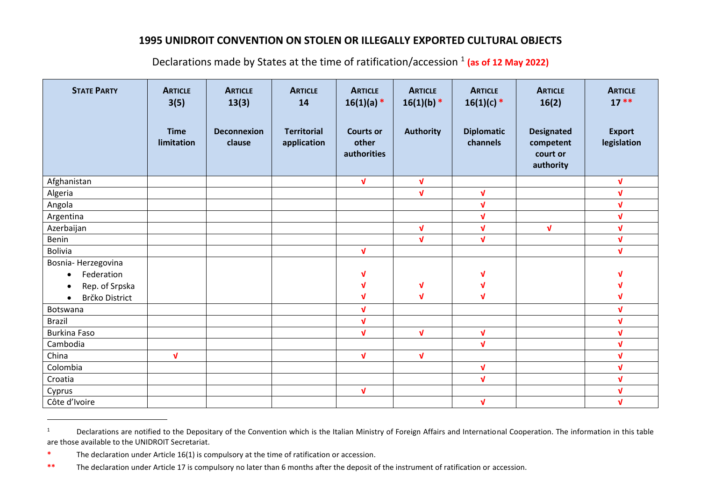## **1995 UNIDROIT CONVENTION ON STOLEN OR ILLEGALLY EXPORTED CULTURAL OBJECTS**

| <b>STATE PARTY</b>      | <b>ARTICLE</b><br>3(5)<br><b>Time</b><br>limitation | <b>ARTICLE</b><br>13(3)<br><b>Deconnexion</b><br>clause | <b>ARTICLE</b><br>14<br><b>Territorial</b><br>application | <b>ARTICLE</b><br>$16(1)(a) *$<br><b>Courts or</b><br>other<br>authorities | <b>ARTICLE</b><br>$16(1)(b)$ *<br><b>Authority</b> | <b>ARTICLE</b><br>$16(1)(c)$ *<br><b>Diplomatic</b><br>channels | <b>ARTICLE</b><br>16(2)<br><b>Designated</b><br>competent<br>court or<br>authority | <b>ARTICLE</b><br>$17**$<br><b>Export</b><br>legislation |
|-------------------------|-----------------------------------------------------|---------------------------------------------------------|-----------------------------------------------------------|----------------------------------------------------------------------------|----------------------------------------------------|-----------------------------------------------------------------|------------------------------------------------------------------------------------|----------------------------------------------------------|
| Afghanistan             |                                                     |                                                         |                                                           | $\sqrt{ }$                                                                 | $\sqrt{ }$                                         |                                                                 |                                                                                    | $\mathbf{v}$                                             |
| Algeria                 |                                                     |                                                         |                                                           |                                                                            | $\sqrt{ }$                                         | $\sqrt{ }$                                                      |                                                                                    | $\sqrt{ }$                                               |
| Angola                  |                                                     |                                                         |                                                           |                                                                            |                                                    | $\mathbf{v}$                                                    |                                                                                    | $\mathbf{v}$                                             |
| Argentina               |                                                     |                                                         |                                                           |                                                                            |                                                    | $\sqrt{ }$                                                      |                                                                                    | $\mathbf{v}$                                             |
| Azerbaijan              |                                                     |                                                         |                                                           |                                                                            | $\sqrt{ }$                                         | $\sqrt{ }$                                                      | $\sqrt{ }$                                                                         | $\mathbf{v}$                                             |
| Benin                   |                                                     |                                                         |                                                           |                                                                            | $\mathbf{V}$                                       | $\mathbf{v}$                                                    |                                                                                    | $\sqrt{ }$                                               |
| <b>Bolivia</b>          |                                                     |                                                         |                                                           | $\sqrt{ }$                                                                 |                                                    |                                                                 |                                                                                    | $\sqrt{ }$                                               |
| Bosnia-Herzegovina      |                                                     |                                                         |                                                           |                                                                            |                                                    |                                                                 |                                                                                    |                                                          |
| Federation<br>$\bullet$ |                                                     |                                                         |                                                           | V                                                                          |                                                    | V                                                               |                                                                                    | ν                                                        |
| Rep. of Srpska          |                                                     |                                                         |                                                           | V                                                                          | $\mathbf v$                                        | V                                                               |                                                                                    | V                                                        |
| Brčko District          |                                                     |                                                         |                                                           | V                                                                          | $\mathbf{v}$                                       | $\mathbf v$                                                     |                                                                                    | V                                                        |
| Botswana                |                                                     |                                                         |                                                           | $\sqrt{ }$                                                                 |                                                    |                                                                 |                                                                                    | $\sqrt{ }$                                               |
| <b>Brazil</b>           |                                                     |                                                         |                                                           | $\sqrt{ }$                                                                 |                                                    |                                                                 |                                                                                    | $\sqrt{ }$                                               |
| <b>Burkina Faso</b>     |                                                     |                                                         |                                                           | $\mathbf{v}$                                                               | $\sqrt{ }$                                         | $\sqrt{ }$                                                      |                                                                                    | $\sqrt{ }$                                               |
| Cambodia                |                                                     |                                                         |                                                           |                                                                            |                                                    | $\mathbf{V}$                                                    |                                                                                    | $\sqrt{ }$                                               |
| China                   | $\mathbf{V}$                                        |                                                         |                                                           | $\sqrt{ }$                                                                 | $\sqrt{ }$                                         |                                                                 |                                                                                    | $\sqrt{ }$                                               |
| Colombia                |                                                     |                                                         |                                                           |                                                                            |                                                    | $\sqrt{ }$                                                      |                                                                                    | $\mathbf{v}$                                             |
| Croatia                 |                                                     |                                                         |                                                           |                                                                            |                                                    | $\sqrt{ }$                                                      |                                                                                    | $\sqrt{ }$                                               |
| Cyprus                  |                                                     |                                                         |                                                           | $\mathbf{v}$                                                               |                                                    |                                                                 |                                                                                    | $\mathbf{v}$                                             |
| Côte d'Ivoire           |                                                     |                                                         |                                                           |                                                                            |                                                    | $\sqrt{ }$                                                      |                                                                                    | $\sqrt{ }$                                               |

Declarations made by States at the time of ratification/accession <sup>1</sup> (as of 12 May 2022)

<sup>&</sup>lt;sup>1</sup> Declarations are notified to the Depositary of the Convention which is the Italian Ministry of Foreign Affairs and International Cooperation. The information in this table are those available to the UNIDROIT Secretariat.

**<sup>\*</sup>** The declaration under Article 16(1) is compulsory at the time of ratification or accession.

**<sup>\*\*</sup>** The declaration under Article 17 is compulsory no later than 6 months after the deposit of the instrument of ratification or accession.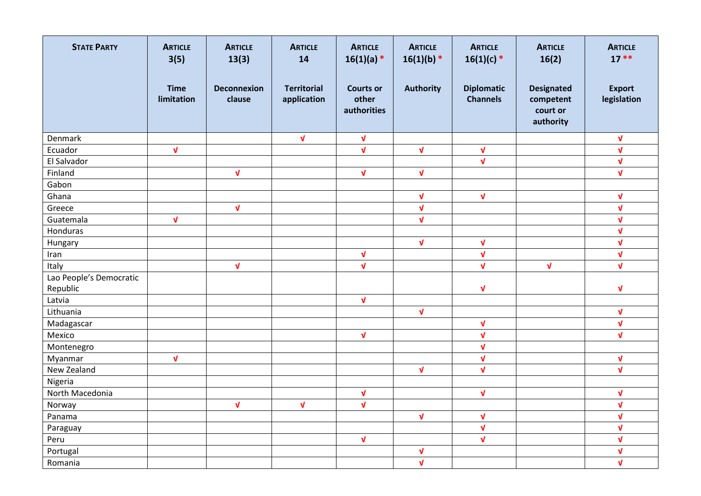| <b>STATE PARTY</b>      | <b>ARTICLE</b><br>3(5)    | <b>ARTICLE</b><br>13(3)      | <b>ARTICLE</b><br>14              | <b>ARTICLE</b><br>$16(1)(a) *$           | <b>ARTICLE</b><br>$16(1)(b)$ * | <b>ARTICLE</b><br>$16(1)(c)$ *       | <b>ARTICLE</b><br>16(2)                                 | <b>ARTICLE</b><br>$17**$     |
|-------------------------|---------------------------|------------------------------|-----------------------------------|------------------------------------------|--------------------------------|--------------------------------------|---------------------------------------------------------|------------------------------|
|                         | <b>Time</b><br>limitation | <b>Deconnexion</b><br>clause | <b>Territorial</b><br>application | <b>Courts or</b><br>other<br>authorities | <b>Authority</b>               | <b>Diplomatic</b><br><b>Channels</b> | <b>Designated</b><br>competent<br>court or<br>authority | <b>Export</b><br>legislation |
| Denmark                 |                           |                              | $\mathbf{v}$                      | $\sqrt{ }$                               |                                |                                      |                                                         | $\sqrt{ }$                   |
| Ecuador                 | $\sqrt{ }$                |                              |                                   | $\sqrt{ }$                               | $\mathbf{v}$                   | $\sqrt{ }$                           |                                                         | $\sqrt{ }$                   |
| El Salvador             |                           |                              |                                   |                                          |                                | $\sqrt{ }$                           |                                                         | $\sqrt{ }$                   |
| Finland                 |                           | $\sqrt{ }$                   |                                   | $\sqrt{ }$                               | $\sqrt{ }$                     |                                      |                                                         | $\sqrt{ }$                   |
| Gabon                   |                           |                              |                                   |                                          |                                |                                      |                                                         |                              |
| Ghana                   |                           |                              |                                   |                                          | $\mathbf v$                    | $\sqrt{ }$                           |                                                         | $\mathbf v$                  |
| Greece                  |                           | $\mathbf{v}$                 |                                   |                                          | $\sqrt{ }$                     |                                      |                                                         | $\sqrt{ }$                   |
| Guatemala               | $\sqrt{ }$                |                              |                                   |                                          | $\sqrt{ }$                     |                                      |                                                         | $\sqrt{ }$                   |
| Honduras                |                           |                              |                                   |                                          |                                |                                      |                                                         | $\sqrt{ }$                   |
| Hungary                 |                           |                              |                                   |                                          | $\sqrt{ }$                     | $\sqrt{ }$                           |                                                         | $\sqrt{ }$                   |
| Iran                    |                           |                              |                                   | $\mathbf{v}$                             |                                | $\sqrt{ }$                           |                                                         | $\mathbf{v}$                 |
| Italy                   |                           | $\sqrt{ }$                   |                                   | $\mathbf{v}$                             |                                | $\sqrt{ }$                           | $\sqrt{ }$                                              | $\mathbf{v}$                 |
| Lao People's Democratic |                           |                              |                                   |                                          |                                |                                      |                                                         |                              |
| Republic                |                           |                              |                                   |                                          |                                | $\sqrt{ }$                           |                                                         | $\mathbf{v}$                 |
| Latvia                  |                           |                              |                                   | $\mathbf{v}$                             |                                |                                      |                                                         |                              |
| Lithuania               |                           |                              |                                   |                                          | $\sqrt{ }$                     |                                      |                                                         | $\sqrt{ }$                   |
| Madagascar              |                           |                              |                                   |                                          |                                | $\sqrt{ }$                           |                                                         | $\sqrt{ }$                   |
| Mexico                  |                           |                              |                                   | $\mathbf{v}$                             |                                | $\sqrt{ }$                           |                                                         | $\mathbf{v}$                 |
| Montenegro              |                           |                              |                                   |                                          |                                | $\sqrt{ }$                           |                                                         |                              |
| Myanmar                 | $\sqrt{ }$                |                              |                                   |                                          |                                | $\sqrt{ }$                           |                                                         | $\sqrt{ }$                   |
| New Zealand             |                           |                              |                                   |                                          | $\sqrt{ }$                     | $\sqrt{ }$                           |                                                         | $\sqrt{ }$                   |
| Nigeria                 |                           |                              |                                   |                                          |                                |                                      |                                                         |                              |
| North Macedonia         |                           |                              |                                   | $\mathbf{v}$                             |                                | $\sqrt{ }$                           |                                                         | $\mathbf v$                  |
| Norway                  |                           | $\sqrt{ }$                   | $\mathbf{v}$                      | $\mathbf{v}$                             |                                |                                      |                                                         | $\mathbf{v}$                 |
| Panama                  |                           |                              |                                   |                                          | $\sqrt{ }$                     | $\sqrt{ }$                           |                                                         | V                            |
| Paraguay                |                           |                              |                                   |                                          |                                | $\sqrt{ }$                           |                                                         | $\sqrt{ }$                   |
| Peru                    |                           |                              |                                   | $\mathbf v$                              |                                | $\sqrt{ }$                           |                                                         | $\sqrt{ }$                   |
| Portugal                |                           |                              |                                   |                                          | $\pmb{\mathsf{V}}$             |                                      |                                                         | $\sqrt{ }$                   |
| Romania                 |                           |                              |                                   |                                          | $\sqrt{ }$                     |                                      |                                                         | $\sqrt{ }$                   |